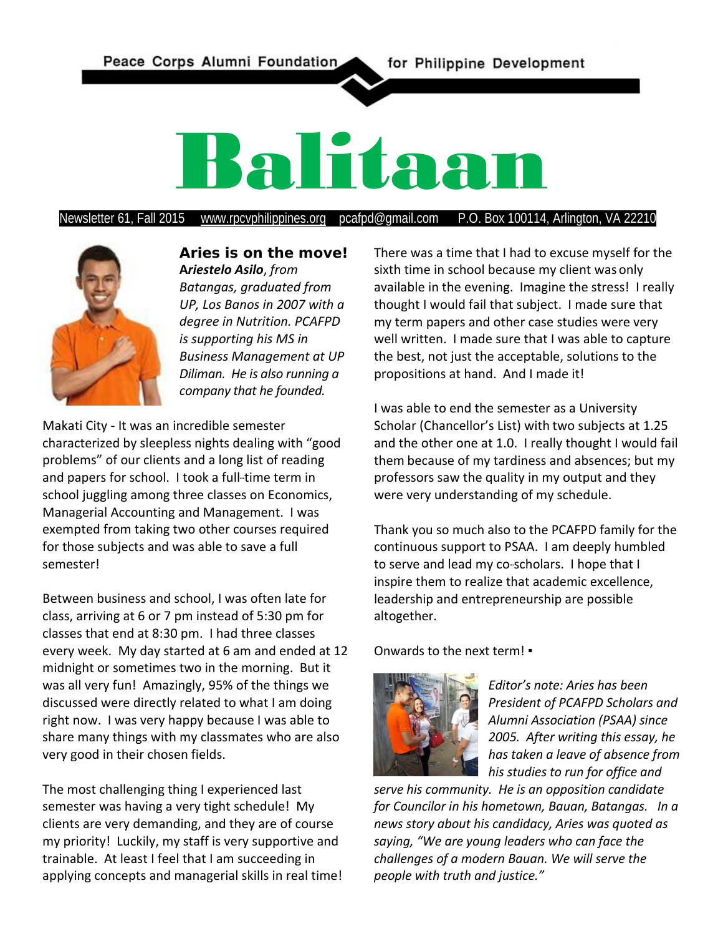

Newsletter 61, Fall 2015 [www.rpcvphilippines.org](http://www.rpcvphilippines.org/) pcafpd@gmail.com P.O. Box 100114, Arlington, VA 22210



**Aries is on the move! A***riestelo Asilo*, *from Batangas, graduated from UP, Los Banos in 2007 with a degree in Nutrition. PCAFPD is supporting his MS in Business Management at UP Diliman. He is also running a company that he founded.*

Makati City - It was an incredible semester characterized by sleepless nights dealing with "good problems" of our clients and a long list of reading and papers for school. I took a full-time term in school juggling among three classes on Economics, Managerial Accounting and Management. I was exempted from taking two other courses required for those subjects and was able to save a full semester!

Between business and school, I was often late for class, arriving at 6 or 7 pm instead of 5:30 pm for classes that end at 8:30 pm. I had three classes every week. My day started at 6 am and ended at 12 midnight or sometimes two in the morning. But it was all very fun! Amazingly, 95% of the things we discussed were directly related to what I am doing right now. I was very happy because I was able to share many things with my classmates who are also very good in their chosen fields.

The most challenging thing I experienced last semester was having a very tight schedule! My clients are very demanding, and they are of course my priority! Luckily, my staff is very supportive and trainable. At least I feel that I am succeeding in applying concepts and managerial skills in real time! There was a time that I had to excuse myself for the sixth time in school because my client was only available in the evening. Imagine the stress! I really thought I would fail that subject. I made sure that my term papers and other case studies were very well written. I made sure that I was able to capture the best, not just the acceptable, solutions to the propositions at hand. And I made it!

I was able to end the semester as a University Scholar (Chancellor's List) with two subjects at 1.25 and the other one at 1.0. I really thought I would fail them because of my tardiness and absences; but my professors saw the quality in my output and they were very understanding of my schedule.

Thank you so much also to the PCAFPD family for the continuous support to PSAA. I am deeply humbled to serve and lead my co-scholars. I hope that I inspire them to realize that academic excellence, leadership and entrepreneurship are possible altogether.

Onwards to the next term! ▪



*Editor's note: Aries has been President of PCAFPD Scholars and Alumni Association (PSAA) since 2005. After writing this essay, he has taken a leave of absence from his studies to run for office and* 

*serve his community. He is an opposition candidate for Councilor in his hometown, Bauan, Batangas. In a news story about his candidacy, Aries was quoted as saying, "We are young leaders who can face the challenges of a modern Bauan. We will serve the people with truth and justice."*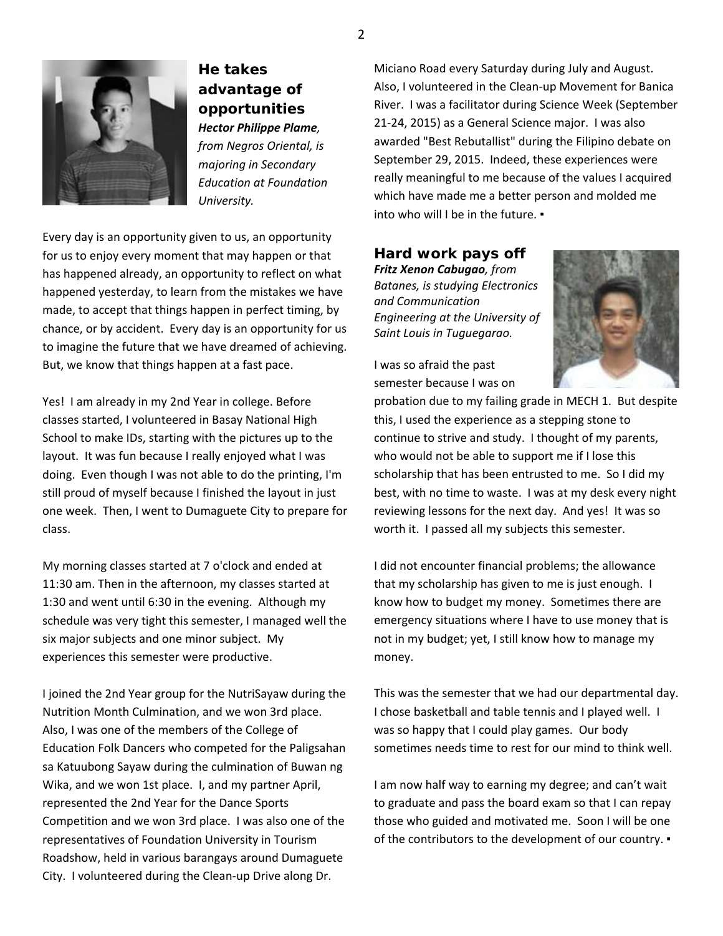

**He takes advantage of opportunities** *Hector Philippe Plame, from Negros Oriental, is majoring in Secondary Education at Foundation University.*

Every day is an opportunity given to us, an opportunity for us to enjoy every moment that may happen or that has happened already, an opportunity to reflect on what happened yesterday, to learn from the mistakes we have made, to accept that things happen in perfect timing, by chance, or by accident. Every day is an opportunity for us to imagine the future that we have dreamed of achieving. But, we know that things happen at a fast pace.

Yes! I am already in my 2nd Year in college. Before classes started, I volunteered in Basay National High School to make IDs, starting with the pictures up to the layout. It was fun because I really enjoyed what I was doing. Even though I was not able to do the printing, I'm still proud of myself because I finished the layout in just one week. Then, I went to Dumaguete City to prepare for class.

My morning classes started at 7 o'clock and ended at 11:30 am. Then in the afternoon, my classes started at 1:30 and went until 6:30 in the evening. Although my schedule was very tight this semester, I managed well the six major subjects and one minor subject. My experiences this semester were productive.

I joined the 2nd Year group for the NutriSayaw during the Nutrition Month Culmination, and we won 3rd place. Also, I was one of the members of the College of Education Folk Dancers who competed for the Paligsahan sa Katuubong Sayaw during the culmination of Buwan ng Wika, and we won 1st place. I, and my partner April, represented the 2nd Year for the Dance Sports Competition and we won 3rd place. I was also one of the representatives of Foundation University in Tourism Roadshow, held in various barangays around Dumaguete City. I volunteered during the Clean-up Drive along Dr.

Miciano Road every Saturday during July and August. Also, I volunteered in the Clean-up Movement for Banica River. I was a facilitator during Science Week (September 21-24, 2015) as a General Science major. I was also awarded "Best Rebutallist" during the Filipino debate on September 29, 2015. Indeed, these experiences were really meaningful to me because of the values I acquired which have made me a better person and molded me into who will I be in the future. •

**Hard work pays off** *Fritz Xenon Cabugao, from Batanes, is studying Electronics and Communication Engineering at the University of Saint Louis in Tuguegarao.*



I was so afraid the past semester because I was on

probation due to my failing grade in MECH 1. But despite this, I used the experience as a stepping stone to continue to strive and study. I thought of my parents, who would not be able to support me if I lose this scholarship that has been entrusted to me. So I did my best, with no time to waste. I was at my desk every night reviewing lessons for the next day. And yes! It was so worth it. I passed all my subjects this semester.

I did not encounter financial problems; the allowance that my scholarship has given to me is just enough. I know how to budget my money. Sometimes there are emergency situations where I have to use money that is not in my budget; yet, I still know how to manage my money.

This was the semester that we had our departmental day. I chose basketball and table tennis and I played well. I was so happy that I could play games. Our body sometimes needs time to rest for our mind to think well.

I am now half way to earning my degree; and can't wait to graduate and pass the board exam so that I can repay those who guided and motivated me. Soon I will be one of the contributors to the development of our country. ▪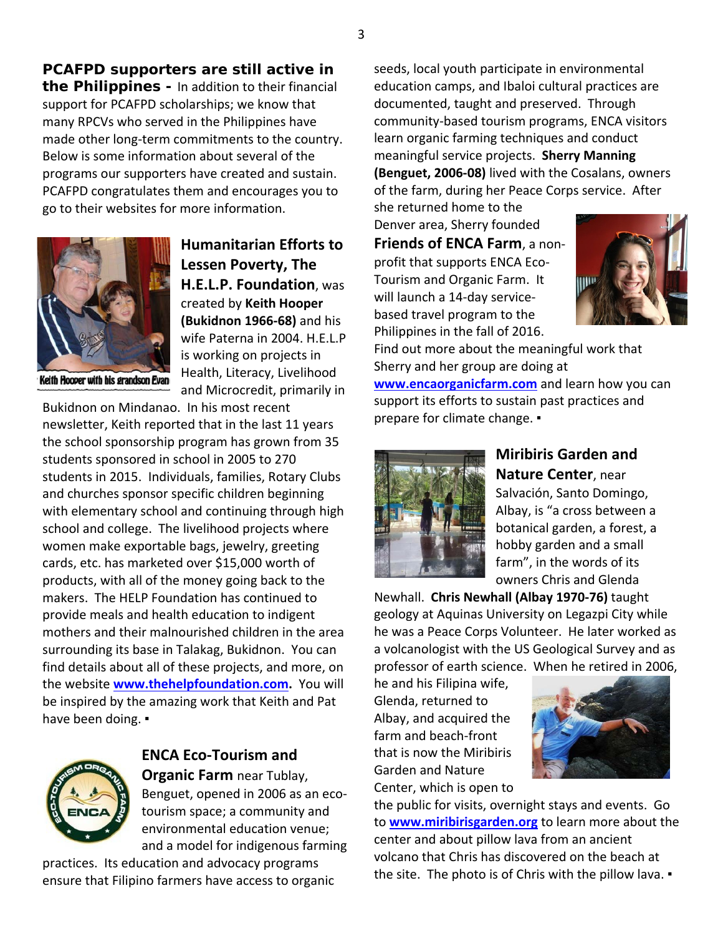**PCAFPD supporters are still active in the Philippines -** In addition to their financial support for PCAFPD scholarships; we know that many RPCVs who served in the Philippines have made other long-term commitments to the country. Below is some information about several of the programs our supporters have created and sustain. PCAFPD congratulates them and encourages you to go to their websites for more information.



**Humanitarian Efforts to Lessen Poverty, The H.E.L.P. Foundation**, was created by **Keith Hooper (Bukidnon 1966-68)** and his wife Paterna in 2004. H.E.L.P is working on projects in Health, Literacy, Livelihood and Microcredit, primarily in

Bukidnon on Mindanao. In his most recent newsletter, Keith reported that in the last 11 years the school sponsorship program has grown from 35 students sponsored in school in 2005 to 270 students in 2015. Individuals, families, Rotary Clubs and churches sponsor specific children beginning with elementary school and continuing through high school and college. The livelihood projects where women make exportable bags, jewelry, greeting cards, etc. has marketed over \$15,000 worth of products, with all of the money going back to the makers. The HELP Foundation has continued to provide meals and health education to indigent mothers and their malnourished children in the area surrounding its base in Talakag, Bukidnon. You can find details about all of these projects, and more, on the website **[www.thehelpfoundation.com.](http://www.thehelpfoundation.com/)** You will be inspired by the amazing work that Keith and Pat have been doing. •



# **ENCA Eco-Tourism and**

**Organic Farm** near Tublay, Benguet, opened in 2006 as an ecotourism space; a community and environmental education venue; and a model for indigenous farming

practices. Its education and advocacy programs ensure that Filipino farmers have access to organic seeds, local youth participate in environmental education camps, and Ibaloi cultural practices are documented, taught and preserved. Through community-based tourism programs, ENCA visitors learn organic farming techniques and conduct meaningful service projects. **Sherry Manning (Benguet, 2006-08)** lived with the Cosalans, owners of the farm, during her Peace Corps service. After

she returned home to the Denver area, Sherry founded **Friends of ENCA Farm**, a nonprofit that supports ENCA Eco-Tourism and Organic Farm. It will launch a 14-day servicebased travel program to the Philippines in the fall of 2016.



Find out more about the meaningful work that Sherry and her group are doing at

**[www.encaorganicfarm.com](http://www.encaorganicfarm.com/)** and learn how you can support its efforts to sustain past practices and prepare for climate change. ▪



## **Miribiris Garden and Nature Center**, near Salvación, Santo Domingo, Albay, is "a cross between a botanical garden, a forest, a

hobby garden and a small farm", in the words of its owners Chris and Glenda

Newhall. **Chris Newhall (Albay 1970-76)** taught geology at Aquinas University on Legazpi City while he was a Peace Corps Volunteer. He later worked as a volcanologist with the US Geological Survey and as professor of earth science. When he retired in 2006,

he and his Filipina wife, Glenda, returned to Albay, and acquired the farm and beach-front that is now the Miribiris Garden and Nature Center, which is open to



the public for visits, overnight stays and events. Go to **[www.miribirisgarden.org](http://www.miribirisgarden.org/)** to learn more about the center and about pillow lava from an ancient volcano that Chris has discovered on the beach at the site. The photo is of Chris with the pillow lava. ▪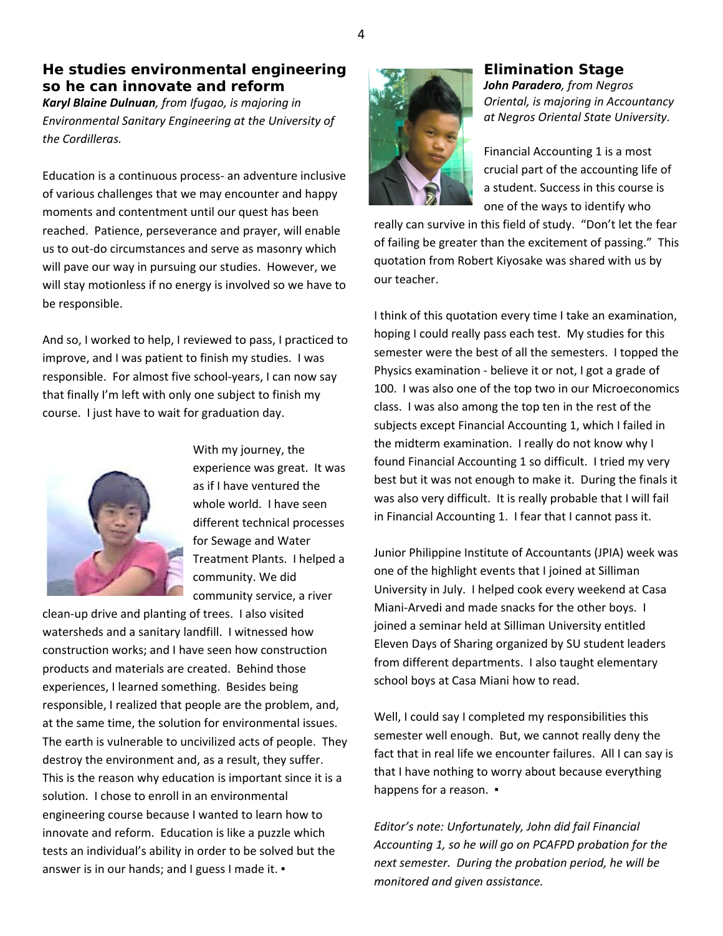### **He studies environmental engineering so he can innovate and reform**

*Karyl Blaine Dulnuan, from Ifugao, is majoring in Environmental Sanitary Engineering at the University of the Cordilleras.*

Education is a continuous process- an adventure inclusive of various challenges that we may encounter and happy moments and contentment until our quest has been reached. Patience, perseverance and prayer, will enable us to out-do circumstances and serve as masonry which will pave our way in pursuing our studies. However, we will stay motionless if no energy is involved so we have to be responsible.

And so, I worked to help, I reviewed to pass, I practiced to improve, and I was patient to finish my studies. I was responsible. For almost five school-years, I can now say that finally I'm left with only one subject to finish my course. I just have to wait for graduation day.



With my journey, the experience was great. It was as if I have ventured the whole world. I have seen different technical processes for Sewage and Water Treatment Plants. I helped a community. We did community service, a river

clean-up drive and planting of trees. I also visited watersheds and a sanitary landfill. I witnessed how construction works; and I have seen how construction products and materials are created. Behind those experiences, I learned something. Besides being responsible, I realized that people are the problem, and, at the same time, the solution for environmental issues. The earth is vulnerable to uncivilized acts of people. They destroy the environment and, as a result, they suffer. This is the reason why education is important since it is a solution. I chose to enroll in an environmental engineering course because I wanted to learn how to innovate and reform. Education is like a puzzle which tests an individual's ability in order to be solved but the answer is in our hands; and I guess I made it. •



### **Elimination Stage**

*John Paradero, from Negros Oriental, is majoring in Accountancy at Negros Oriental State University.*

Financial Accounting 1 is a most crucial part of the accounting life of a student. Success in this course is one of the ways to identify who

really can survive in this field of study. "Don't let the fear of failing be greater than the excitement of passing." This quotation from Robert Kiyosake was shared with us by our teacher.

I think of this quotation every time I take an examination, hoping I could really pass each test. My studies for this semester were the best of all the semesters. I topped the Physics examination - believe it or not, I got a grade of 100. I was also one of the top two in our Microeconomics class. I was also among the top ten in the rest of the subjects except Financial Accounting 1, which I failed in the midterm examination. I really do not know why I found Financial Accounting 1 so difficult. I tried my very best but it was not enough to make it. During the finals it was also very difficult. It is really probable that I will fail in Financial Accounting 1. I fear that I cannot pass it.

Junior Philippine Institute of Accountants (JPIA) week was one of the highlight events that I joined at Silliman University in July. I helped cook every weekend at Casa Miani-Arvedi and made snacks for the other boys. I joined a seminar held at Silliman University entitled Eleven Days of Sharing organized by SU student leaders from different departments. I also taught elementary school boys at Casa Miani how to read.

Well, I could say I completed my responsibilities this semester well enough. But, we cannot really deny the fact that in real life we encounter failures. All I can say is that I have nothing to worry about because everything happens for a reason.  $\cdot$ 

*Editor's note: Unfortunately, John did fail Financial Accounting 1, so he will go on PCAFPD probation for the next semester. During the probation period, he will be monitored and given assistance.*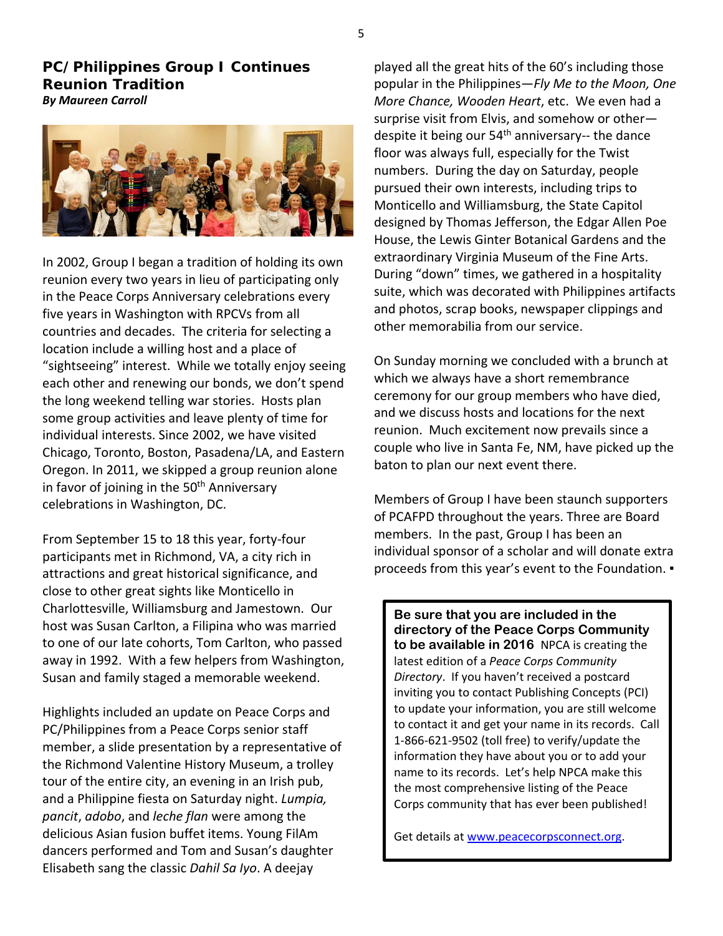**PC/Philippines Group I Continues Reunion Tradition**  *By Maureen Carroll*



In 2002, Group I began a tradition of holding its own reunion every two years in lieu of participating only in the Peace Corps Anniversary celebrations every five years in Washington with RPCVs from all countries and decades. The criteria for selecting a location include a willing host and a place of "sightseeing" interest. While we totally enjoy seeing each other and renewing our bonds, we don't spend the long weekend telling war stories. Hosts plan some group activities and leave plenty of time for individual interests. Since 2002, we have visited Chicago, Toronto, Boston, Pasadena/LA, and Eastern Oregon. In 2011, we skipped a group reunion alone in favor of joining in the 50<sup>th</sup> Anniversary celebrations in Washington, DC.

From September 15 to 18 this year, forty-four participants met in Richmond, VA, a city rich in attractions and great historical significance, and close to other great sights like Monticello in Charlottesville, Williamsburg and Jamestown. Our host was Susan Carlton, a Filipina who was married to one of our late cohorts, Tom Carlton, who passed away in 1992. With a few helpers from Washington, Susan and family staged a memorable weekend.

Highlights included an update on Peace Corps and PC/Philippines from a Peace Corps senior staff member, a slide presentation by a representative of the Richmond Valentine History Museum, a trolley tour of the entire city, an evening in an Irish pub, and a Philippine fiesta on Saturday night. *Lumpia, pancit*, *adobo*, and *leche flan* were among the delicious Asian fusion buffet items. Young FilAm dancers performed and Tom and Susan's daughter Elisabeth sang the classic *Dahil Sa Iyo*. A deejay

played all the great hits of the 60's including those popular in the Philippines—*Fly Me to the Moon, One More Chance, Wooden Heart*, etc. We even had a surprise visit from Elvis, and somehow or other despite it being our  $54<sup>th</sup>$  anniversary-- the dance floor was always full, especially for the Twist numbers. During the day on Saturday, people pursued their own interests, including trips to Monticello and Williamsburg, the State Capitol designed by Thomas Jefferson, the Edgar Allen Poe House, the Lewis Ginter Botanical Gardens and the extraordinary Virginia Museum of the Fine Arts. During "down" times, we gathered in a hospitality suite, which was decorated with Philippines artifacts and photos, scrap books, newspaper clippings and other memorabilia from our service.

On Sunday morning we concluded with a brunch at which we always have a short remembrance ceremony for our group members who have died, and we discuss hosts and locations for the next reunion. Much excitement now prevails since a couple who live in Santa Fe, NM, have picked up the baton to plan our next event there.

Members of Group I have been staunch supporters of PCAFPD throughout the years. Three are Board members. In the past, Group I has been an individual sponsor of a scholar and will donate extra proceeds from this year's event to the Foundation. ▪

**Be sure that you are included in the directory of the Peace Corps Community to be available in 2016** NPCA is creating the latest edition of a *Peace Corps Community Directory*. If you haven't received a postcard inviting you to contact Publishing Concepts (PCI) to update your information, you are still welcome to contact it and get your name in its records. Call 1-866-621-9502 (toll free) to verify/update the information they have about you or to add your name to its records. Let's help NPCA make this the most comprehensive listing of the Peace Corps community that has ever been published!

Get details at [www.peacecorpsconnect.org.](http://www.peacecorpsconnect.org/)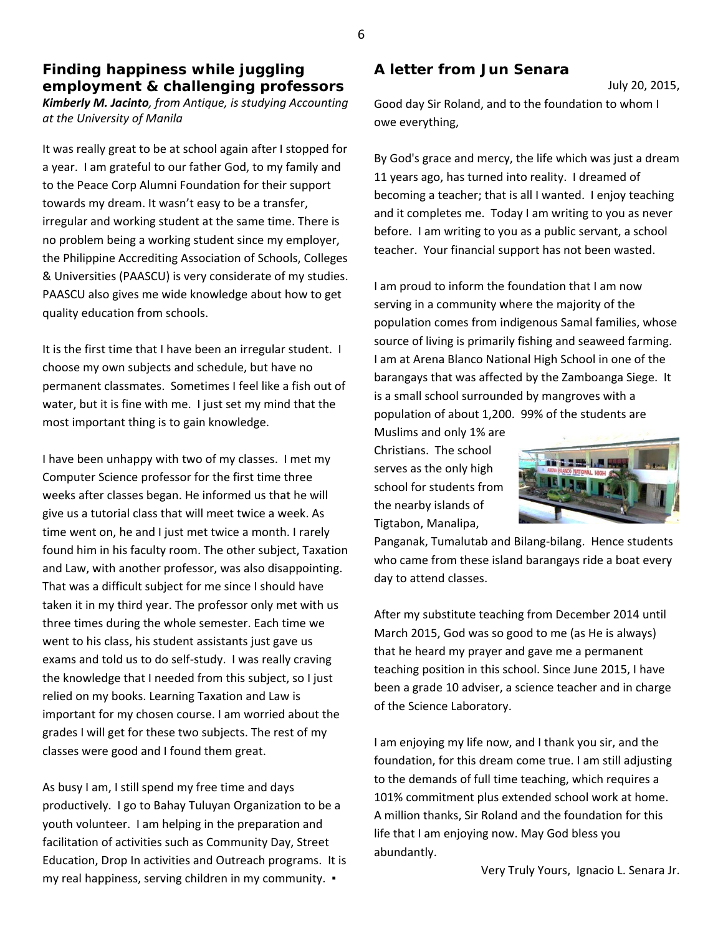## **Finding happiness while juggling employment & challenging professors**

*Kimberly M. Jacinto, from Antique, is studying Accounting at the University of Manila*

It was really great to be at school again after I stopped for a year. I am grateful to our father God, to my family and to the Peace Corp Alumni Foundation for their support towards my dream. It wasn't easy to be a transfer, irregular and working student at the same time. There is no problem being a working student since my employer, the Philippine Accrediting Association of Schools, Colleges & Universities (PAASCU) is very considerate of my studies. PAASCU also gives me wide knowledge about how to get quality education from schools.

It is the first time that I have been an irregular student. I choose my own subjects and schedule, but have no permanent classmates. Sometimes I feel like a fish out of water, but it is fine with me. I just set my mind that the most important thing is to gain knowledge.

I have been unhappy with two of my classes. I met my Computer Science professor for the first time three weeks after classes began. He informed us that he will give us a tutorial class that will meet twice a week. As time went on, he and I just met twice a month. I rarely found him in his faculty room. The other subject, Taxation and Law, with another professor, was also disappointing. That was a difficult subject for me since I should have taken it in my third year. The professor only met with us three times during the whole semester. Each time we went to his class, his student assistants just gave us exams and told us to do self-study. I was really craving the knowledge that I needed from this subject, so I just relied on my books. Learning Taxation and Law is important for my chosen course. I am worried about the grades I will get for these two subjects. The rest of my classes were good and I found them great.

As busy I am, I still spend my free time and days productively. I go to Bahay Tuluyan Organization to be a youth volunteer. I am helping in the preparation and facilitation of activities such as Community Day, Street Education, Drop In activities and Outreach programs. It is my real happiness, serving children in my community. ▪

#### **A letter from Jun Senara**

July 20, 2015,

Good day Sir Roland, and to the foundation to whom I owe everything,

By God's grace and mercy, the life which was just a dream 11 years ago, has turned into reality. I dreamed of becoming a teacher; that is all I wanted. I enjoy teaching and it completes me. Today I am writing to you as never before. I am writing to you as a public servant, a school teacher. Your financial support has not been wasted.

I am proud to inform the foundation that I am now serving in a community where the majority of the population comes from indigenous Samal families, whose source of living is primarily fishing and seaweed farming. I am at Arena Blanco National High School in one of the barangays that was affected by the Zamboanga Siege. It is a small school surrounded by mangroves with a population of about 1,200. 99% of the students are

Muslims and only 1% are Christians. The school serves as the only high school for students from the nearby islands of Tigtabon, Manalipa,



Panganak, Tumalutab and Bilang-bilang. Hence students who came from these island barangays ride a boat every day to attend classes.

After my substitute teaching from December 2014 until March 2015, God was so good to me (as He is always) that he heard my prayer and gave me a permanent teaching position in this school. Since June 2015, I have been a grade 10 adviser, a science teacher and in charge of the Science Laboratory.

I am enjoying my life now, and I thank you sir, and the foundation, for this dream come true. I am still adjusting to the demands of full time teaching, which requires a 101% commitment plus extended school work at home. A million thanks, Sir Roland and the foundation for this life that I am enjoying now. May God bless you abundantly.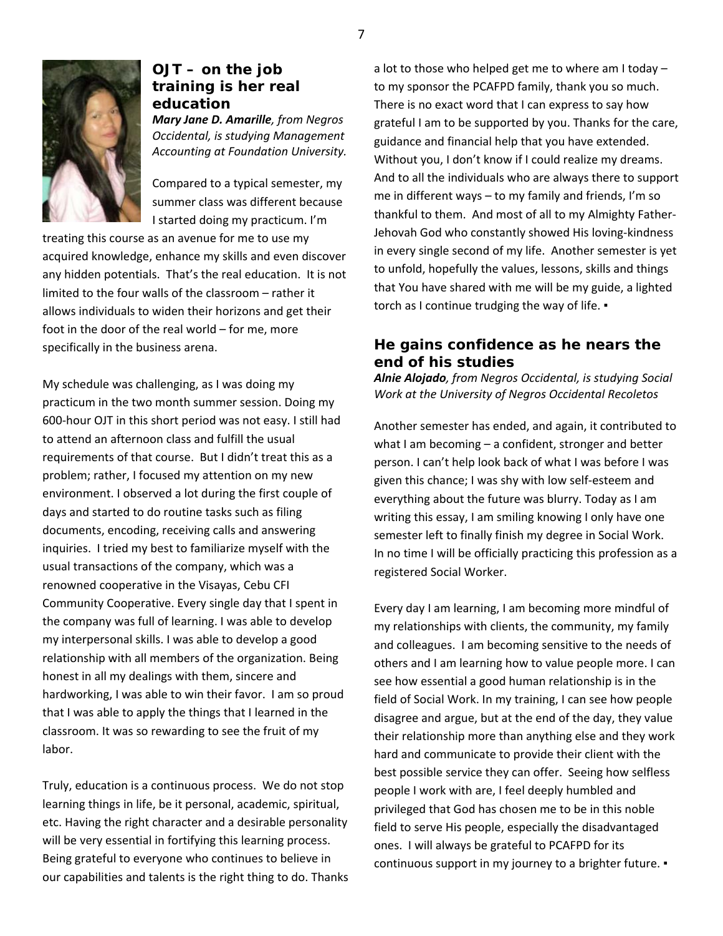

### **OJT – on the job training is her real education**

*Mary Jane D. Amarille, from Negros Occidental, is studying Management Accounting at Foundation University.*

Compared to a typical semester, my summer class was different because I started doing my practicum. I'm

treating this course as an avenue for me to use my acquired knowledge, enhance my skills and even discover any hidden potentials. That's the real education. It is not limited to the four walls of the classroom – rather it allows individuals to widen their horizons and get their foot in the door of the real world – for me, more specifically in the business arena.

My schedule was challenging, as I was doing my practicum in the two month summer session. Doing my 600-hour OJT in this short period was not easy. I still had to attend an afternoon class and fulfill the usual requirements of that course. But I didn't treat this as a problem; rather, I focused my attention on my new environment. I observed a lot during the first couple of days and started to do routine tasks such as filing documents, encoding, receiving calls and answering inquiries. I tried my best to familiarize myself with the usual transactions of the company, which was a renowned cooperative in the Visayas, Cebu CFI Community Cooperative. Every single day that I spent in the company was full of learning. I was able to develop my interpersonal skills. I was able to develop a good relationship with all members of the organization. Being honest in all my dealings with them, sincere and hardworking, I was able to win their favor. I am so proud that I was able to apply the things that I learned in the classroom. It was so rewarding to see the fruit of my labor.

Truly, education is a continuous process. We do not stop learning things in life, be it personal, academic, spiritual, etc. Having the right character and a desirable personality will be very essential in fortifying this learning process. Being grateful to everyone who continues to believe in our capabilities and talents is the right thing to do. Thanks a lot to those who helped get me to where am I today – to my sponsor the PCAFPD family, thank you so much. There is no exact word that I can express to say how grateful I am to be supported by you. Thanks for the care, guidance and financial help that you have extended. Without you, I don't know if I could realize my dreams. And to all the individuals who are always there to support me in different ways – to my family and friends, I'm so thankful to them. And most of all to my Almighty Father-Jehovah God who constantly showed His loving-kindness in every single second of my life. Another semester is yet to unfold, hopefully the values, lessons, skills and things that You have shared with me will be my guide, a lighted torch as I continue trudging the way of life. •

### **He gains confidence as he nears the end of his studies**

*Alnie Alojado, from Negros Occidental, is studying Social Work at the University of Negros Occidental Recoletos*

Another semester has ended, and again, it contributed to what I am becoming – a confident, stronger and better person. I can't help look back of what I was before I was given this chance; I was shy with low self-esteem and everything about the future was blurry. Today as I am writing this essay, I am smiling knowing I only have one semester left to finally finish my degree in Social Work. In no time I will be officially practicing this profession as a registered Social Worker.

Every day I am learning, I am becoming more mindful of my relationships with clients, the community, my family and colleagues. I am becoming sensitive to the needs of others and I am learning how to value people more. I can see how essential a good human relationship is in the field of Social Work. In my training, I can see how people disagree and argue, but at the end of the day, they value their relationship more than anything else and they work hard and communicate to provide their client with the best possible service they can offer. Seeing how selfless people I work with are, I feel deeply humbled and privileged that God has chosen me to be in this noble field to serve His people, especially the disadvantaged ones. I will always be grateful to PCAFPD for its continuous support in my journey to a brighter future. ▪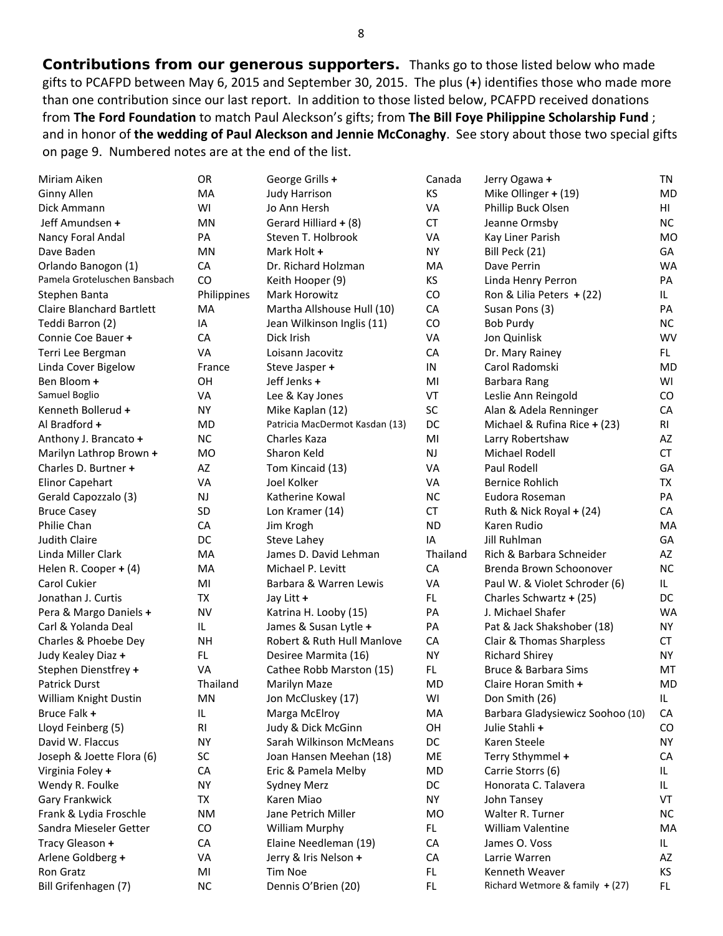*Contributions from our generous supporters***.** Thanks go to those listed below who made gifts to PCAFPD between May 6, 2015 and September 30, 2015. The plus (**+**) identifies those who made more than one contribution since our last report. In addition to those listed below, PCAFPD received donations from **The Ford Foundation** to match Paul Aleckson's gifts; from **The Bill Foye Philippine Scholarship Fund** ; and in honor of **the wedding of Paul Aleckson and Jennie McConaghy**. See story about those two special gifts on page 9. Numbered notes are at the end of the list.

| Miriam Aiken                     | OR          | George Grills +                | Canada    | Jerry Ogawa +                    | TN        |
|----------------------------------|-------------|--------------------------------|-----------|----------------------------------|-----------|
| Ginny Allen                      | <b>MA</b>   | <b>Judy Harrison</b>           | KS        | Mike Ollinger + (19)             | <b>MD</b> |
| Dick Ammann                      | WI          | Jo Ann Hersh                   | VA        | Phillip Buck Olsen               | HI        |
| Jeff Amundsen +                  | ΜN          | Gerard Hilliard + (8)          | <b>CT</b> | Jeanne Ormsby                    | <b>NC</b> |
| Nancy Foral Andal                | PA          | Steven T. Holbrook             | VA        | Kay Liner Parish                 | <b>MO</b> |
| Dave Baden                       | <b>MN</b>   | Mark Holt +                    | <b>NY</b> | Bill Peck (21)                   | GA        |
| Orlando Banogon (1)              | CA          | Dr. Richard Holzman            | MA        | Dave Perrin                      | <b>WA</b> |
| Pamela Groteluschen Bansbach     | CO          | Keith Hooper (9)               | ΚS        | Linda Henry Perron               | PA        |
| Stephen Banta                    | Philippines | Mark Horowitz                  | CO        | Ron & Lilia Peters + (22)        | IL        |
| <b>Claire Blanchard Bartlett</b> | MA          | Martha Allshouse Hull (10)     | CA        | Susan Pons (3)                   | PA        |
| Teddi Barron (2)                 | IA          | Jean Wilkinson Inglis (11)     | CO        | <b>Bob Purdy</b>                 | NC.       |
| Connie Coe Bauer +               | CA          | Dick Irish                     | VA        | Jon Quinlisk                     | <b>WV</b> |
| Terri Lee Bergman                | <b>VA</b>   | Loisann Jacovitz               | CA        | Dr. Mary Rainey                  | FL.       |
| Linda Cover Bigelow              | France      | Steve Jasper +                 | IN        | Carol Radomski                   | <b>MD</b> |
| Ben Bloom +                      | OH          | Jeff Jenks +                   | MI        | Barbara Rang                     | WI        |
| Samuel Boglio                    | VA          | Lee & Kay Jones                | VT        | Leslie Ann Reingold              | CO        |
| Kenneth Bollerud +               | NΥ          | Mike Kaplan (12)               | SC        | Alan & Adela Renninger           | CA        |
| Al Bradford +                    | MD          | Patricia MacDermot Kasdan (13) | DC        | Michael & Rufina Rice + (23)     | RI        |
| Anthony J. Brancato +            | <b>NC</b>   | Charles Kaza                   | MI        | Larry Robertshaw                 | AZ        |
| Marilyn Lathrop Brown +          | <b>MO</b>   | Sharon Keld                    | <b>NJ</b> | Michael Rodell                   | CT        |
| Charles D. Burtner +             | AZ          | Tom Kincaid (13)               | VA        | Paul Rodell                      | GA        |
| <b>Elinor Capehart</b>           | <b>VA</b>   | Joel Kolker                    | VA        | <b>Bernice Rohlich</b>           | TX        |
| Gerald Capozzalo (3)             | NJ          | Katherine Kowal                | <b>NC</b> | Eudora Roseman                   | PA        |
| <b>Bruce Casey</b>               | <b>SD</b>   | Lon Kramer (14)                | CT        | Ruth & Nick Royal + (24)         | CA        |
| Philie Chan                      | CA          | Jim Krogh                      | <b>ND</b> | Karen Rudio                      | MA        |
| Judith Claire                    | DC          | Steve Lahey                    | IA        | Jill Ruhlman                     | GA        |
| Linda Miller Clark               | MA          | James D. David Lehman          | Thailand  | Rich & Barbara Schneider         | AZ        |
| Helen R. Cooper + (4)            | MA          | Michael P. Levitt              | CA        | Brenda Brown Schoonover          | <b>NC</b> |
| Carol Cukier                     | MI          | Barbara & Warren Lewis         | VA        | Paul W. & Violet Schroder (6)    | IL.       |
| Jonathan J. Curtis               | TX          | Jay Litt +                     | FL.       | Charles Schwartz + (25)          | DC        |
| Pera & Margo Daniels +           | <b>NV</b>   | Katrina H. Looby (15)          | PA        | J. Michael Shafer                | <b>WA</b> |
| Carl & Yolanda Deal              | IL.         | James & Susan Lytle +          | PA        | Pat & Jack Shakshober (18)       | NY.       |
| Charles & Phoebe Dey             | <b>NH</b>   | Robert & Ruth Hull Manlove     | CA        | Clair & Thomas Sharpless         | <b>CT</b> |
| Judy Kealey Diaz +               | FL.         | Desiree Marmita (16)           | <b>NY</b> | <b>Richard Shirey</b>            | <b>NY</b> |
| Stephen Dienstfrey +             | VA          | Cathee Robb Marston (15)       | FL        | Bruce & Barbara Sims             | MT        |
| <b>Patrick Durst</b>             | Thailand    | Marilyn Maze                   | MD        | Claire Horan Smith +             | <b>MD</b> |
| William Knight Dustin            | <b>MN</b>   | Jon McCluskey (17)             | WI        | Don Smith (26)                   | IL        |
| Bruce Falk +                     | IL          | Marga McElroy                  | MA        | Barbara Gladysiewicz Soohoo (10) | CA        |
| Lloyd Feinberg (5)               | <b>RI</b>   | Judy & Dick McGinn             | OH        | Julie Stahli+                    | CO        |
| David W. Flaccus                 | <b>NY</b>   | Sarah Wilkinson McMeans        | DC        | Karen Steele                     | <b>NY</b> |
| Joseph & Joette Flora (6)        | SC          | Joan Hansen Meehan (18)        | ME        | Terry Sthymmel +                 | CA        |
| Virginia Foley +                 | CA          | Eric & Pamela Melby            | MD        | Carrie Storrs (6)                | IL        |
| Wendy R. Foulke                  | <b>NY</b>   | <b>Sydney Merz</b>             | DC        | Honorata C. Talavera             | IL.       |
| Gary Frankwick                   | TX          | Karen Miao                     | <b>NY</b> | John Tansey                      | VT        |
| Frank & Lydia Froschle           | <b>NM</b>   | Jane Petrich Miller            | <b>MO</b> | Walter R. Turner                 | <b>NC</b> |
| Sandra Mieseler Getter           | CO          | William Murphy                 | FL        | William Valentine                | MA        |
| Tracy Gleason +                  | CA          | Elaine Needleman (19)          | CA        | James O. Voss                    | IL.       |
| Arlene Goldberg +                | VA          | Jerry & Iris Nelson +          | CA        | Larrie Warren                    | AZ        |
| Ron Gratz                        | MI          | Tim Noe                        | FL.       | Kenneth Weaver                   | KS        |
| Bill Grifenhagen (7)             | <b>NC</b>   | Dennis O'Brien (20)            | FL.       | Richard Wetmore & family + (27)  | FL.       |
|                                  |             |                                |           |                                  |           |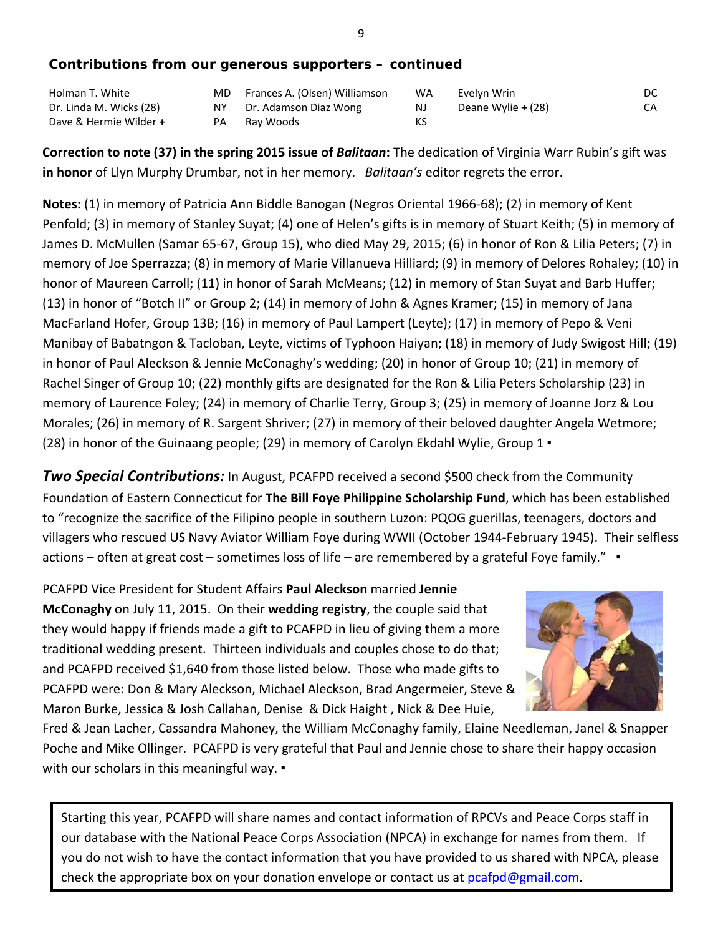#### *Contributions from our generous supporters – continued*

| Holman T. White         | MD. | Frances A. (Olsen) Williamson | WA | Evelyn Wrin        | DC. |
|-------------------------|-----|-------------------------------|----|--------------------|-----|
| Dr. Linda M. Wicks (28) | NY. | Dr. Adamson Diaz Wong         | NJ | Deane Wylie + (28) | CA  |
| Dave & Hermie Wilder +  | PA  | Rav Woods                     | КS |                    |     |

**Correction to note (37) in the spring 2015 issue of** *Balitaan***:** The dedication of Virginia Warr Rubin's gift was **in honor** of Llyn Murphy Drumbar, not in her memory. *Balitaan's* editor regrets the error.

**Notes:** (1) in memory of Patricia Ann Biddle Banogan (Negros Oriental 1966-68); (2) in memory of Kent Penfold; (3) in memory of Stanley Suyat; (4) one of Helen's gifts is in memory of Stuart Keith; (5) in memory of James D. McMullen (Samar 65-67, Group 15), who died May 29, 2015; (6) in honor of Ron & Lilia Peters; (7) in memory of Joe Sperrazza; (8) in memory of Marie Villanueva Hilliard; (9) in memory of Delores Rohaley; (10) in honor of Maureen Carroll; (11) in honor of Sarah McMeans; (12) in memory of Stan Suyat and Barb Huffer; (13) in honor of "Botch II" or Group 2; (14) in memory of John & Agnes Kramer; (15) in memory of Jana MacFarland Hofer, Group 13B; (16) in memory of Paul Lampert (Leyte); (17) in memory of Pepo & Veni Manibay of Babatngon & Tacloban, Leyte, victims of Typhoon Haiyan; (18) in memory of Judy Swigost Hill; (19) in honor of Paul Aleckson & Jennie McConaghy's wedding; (20) in honor of Group 10; (21) in memory of Rachel Singer of Group 10; (22) monthly gifts are designated for the Ron & Lilia Peters Scholarship (23) in memory of Laurence Foley; (24) in memory of Charlie Terry, Group 3; (25) in memory of Joanne Jorz & Lou Morales; (26) in memory of R. Sargent Shriver; (27) in memory of their beloved daughter Angela Wetmore; (28) in honor of the Guinaang people; (29) in memory of Carolyn Ekdahl Wylie, Group 1 ▪

**Two Special Contributions:** In August, PCAFPD received a second \$500 check from the Community Foundation of Eastern Connecticut for **The Bill Foye Philippine Scholarship Fund**, which has been established to "recognize the sacrifice of the Filipino people in southern Luzon: PQOG guerillas, teenagers, doctors and villagers who rescued US Navy Aviator William Foye during WWII (October 1944-February 1945). Their selfless actions – often at great cost – sometimes loss of life – are remembered by a grateful Foye family." ▪

PCAFPD Vice President for Student Affairs **Paul Aleckson** married **Jennie McConaghy** on July 11, 2015. On their **wedding registry**, the couple said that they would happy if friends made a gift to PCAFPD in lieu of giving them a more traditional wedding present. Thirteen individuals and couples chose to do that; and PCAFPD received \$1,640 from those listed below. Those who made gifts to PCAFPD were: Don & Mary Aleckson, Michael Aleckson, Brad Angermeier, Steve & Maron Burke, Jessica & Josh Callahan, Denise & Dick Haight , Nick & Dee Huie,



Fred & Jean Lacher, Cassandra Mahoney, the William McConaghy family, Elaine Needleman, Janel & Snapper Poche and Mike Ollinger. PCAFPD is very grateful that Paul and Jennie chose to share their happy occasion with our scholars in this meaningful way. •

Starting this year, PCAFPD will share names and contact information of RPCVs and Peace Corps staff in our database with the National Peace Corps Association (NPCA) in exchange for names from them. If you do not wish to have the contact information that you have provided to us shared with NPCA, please check the appropriate box on your donation envelope or contact us at [pcafpd@gmail.com.](mailto:pcafpd@gmail.com)